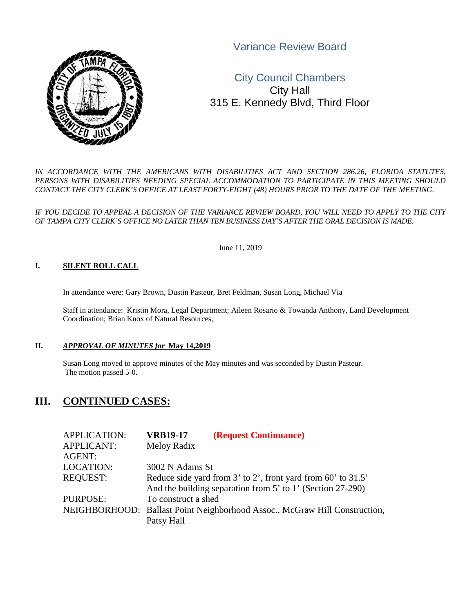Variance Review Board



# City Council Chambers City Hall 315 E. Kennedy Blvd, Third Floor

*IN ACCORDANCE WITH THE AMERICANS WITH DISABILITIES ACT AND SECTION 286.26, FLORIDA STATUTES, PERSONS WITH DISABILITIES NEEDING SPECIAL ACCOMMODATION TO PARTICIPATE IN THIS MEETING SHOULD CONTACT THE CITY CLERK'S OFFICE AT LEAST FORTY-EIGHT (48) HOURS PRIOR TO THE DATE OF THE MEETING.*

*IF YOU DECIDE TO APPEAL A DECISION OF THE VARIANCE REVIEW BOARD, YOU WILL NEED TO APPLY TO THE CITY OF TAMPA CITY CLERK'S OFFICE NO LATER THAN TEN BUSINESS DAY'S AFTER THE ORAL DECISION IS MADE.* 

June 11, 2019

#### **I. SILENT ROLL CALL**

In attendance were: Gary Brown, Dustin Pasteur, Bret Feldman, Susan Long, Michael Via

Staff in attendance: Kristin Mora, Legal Department; Aileen Rosario & Towanda Anthony, Land Development Coordination; Brian Knox of Natural Resources,

#### **II.** *APPROVAL OF MINUTES for* **May 14,2019**

Susan Long moved to approve minutes of the May minutes and was seconded by Dustin Pasteur. The motion passed 5-0.

# **III. CONTINUED CASES:**

| <b>APPLICATION:</b> | <b>VRB19-17</b>     | (Request Continuance)                                                      |
|---------------------|---------------------|----------------------------------------------------------------------------|
| <b>APPLICANT:</b>   | Meloy Radix         |                                                                            |
| <b>AGENT:</b>       |                     |                                                                            |
| <b>LOCATION:</b>    | 3002 N Adams St     |                                                                            |
| <b>REQUEST:</b>     |                     | Reduce side yard from 3' to 2', front yard from 60' to 31.5'               |
|                     |                     | And the building separation from 5' to 1' (Section 27-290)                 |
| PURPOSE:            | To construct a shed |                                                                            |
|                     |                     | NEIGHBORHOOD: Ballast Point Neighborhood Assoc., McGraw Hill Construction, |
|                     | Patsy Hall          |                                                                            |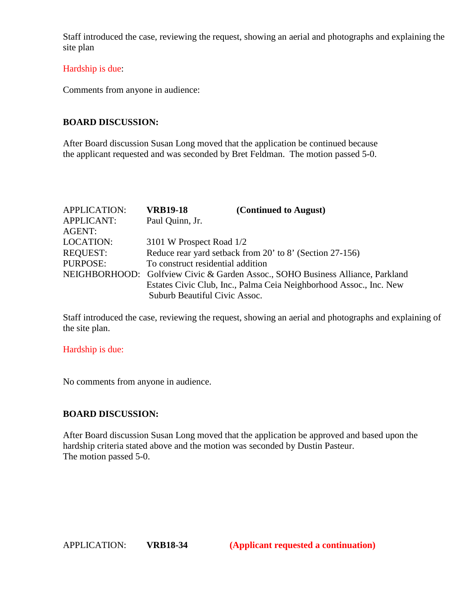Staff introduced the case, reviewing the request, showing an aerial and photographs and explaining the site plan

### Hardship is due:

Comments from anyone in audience:

# **BOARD DISCUSSION:**

After Board discussion Susan Long moved that the application be continued because the applicant requested and was seconded by Bret Feldman. The motion passed 5-0.

| <b>APPLICATION:</b> | <b>VRB19-18</b>                                          | (Continued to August)                                                          |  |
|---------------------|----------------------------------------------------------|--------------------------------------------------------------------------------|--|
| <b>APPLICANT:</b>   | Paul Quinn, Jr.                                          |                                                                                |  |
| AGENT:              |                                                          |                                                                                |  |
| <b>LOCATION:</b>    | 3101 W Prospect Road 1/2                                 |                                                                                |  |
| <b>REQUEST:</b>     | Reduce rear yard setback from 20' to 8' (Section 27-156) |                                                                                |  |
| PURPOSE:            | To construct residential addition                        |                                                                                |  |
|                     |                                                          | NEIGHBORHOOD: Golfview Civic & Garden Assoc., SOHO Business Alliance, Parkland |  |
|                     |                                                          | Estates Civic Club, Inc., Palma Ceia Neighborhood Assoc., Inc. New             |  |
|                     | Suburb Beautiful Civic Assoc.                            |                                                                                |  |

Staff introduced the case, reviewing the request, showing an aerial and photographs and explaining of the site plan.

#### Hardship is due:

No comments from anyone in audience.

### **BOARD DISCUSSION:**

After Board discussion Susan Long moved that the application be approved and based upon the hardship criteria stated above and the motion was seconded by Dustin Pasteur. The motion passed 5-0.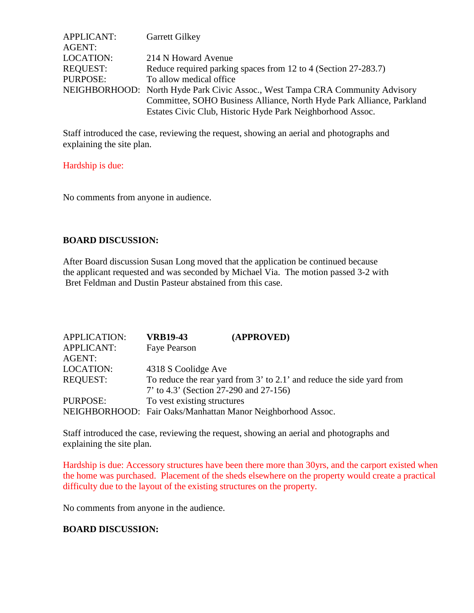| <b>APPLICANT:</b> | <b>Garrett Gilkey</b>                                                         |
|-------------------|-------------------------------------------------------------------------------|
| AGENT:            |                                                                               |
| LOCATION:         | 214 N Howard Avenue                                                           |
| <b>REQUEST:</b>   | Reduce required parking spaces from 12 to 4 (Section 27-283.7)                |
| PURPOSE:          | To allow medical office.                                                      |
|                   | NEIGHBORHOOD: North Hyde Park Civic Assoc., West Tampa CRA Community Advisory |
|                   | Committee, SOHO Business Alliance, North Hyde Park Alliance, Parkland         |
|                   | Estates Civic Club, Historic Hyde Park Neighborhood Assoc.                    |

Staff introduced the case, reviewing the request, showing an aerial and photographs and explaining the site plan.

### Hardship is due:

No comments from anyone in audience.

# **BOARD DISCUSSION:**

After Board discussion Susan Long moved that the application be continued because the applicant requested and was seconded by Michael Via. The motion passed 3-2 with Bret Feldman and Dustin Pasteur abstained from this case.

| <b>APPLICATION:</b> | <b>VRB19-43</b>                        | (APPROVED)                                                            |
|---------------------|----------------------------------------|-----------------------------------------------------------------------|
| <b>APPLICANT:</b>   | Faye Pearson                           |                                                                       |
| AGENT:              |                                        |                                                                       |
| LOCATION:           | 4318 S Coolidge Ave                    |                                                                       |
| <b>REQUEST:</b>     |                                        | To reduce the rear yard from 3' to 2.1' and reduce the side yard from |
|                     | 7' to 4.3' (Section 27-290 and 27-156) |                                                                       |
| PURPOSE:            | To vest existing structures            |                                                                       |
|                     |                                        | NEIGHBORHOOD: Fair Oaks/Manhattan Manor Neighborhood Assoc.           |

Staff introduced the case, reviewing the request, showing an aerial and photographs and explaining the site plan.

Hardship is due: Accessory structures have been there more than 30yrs, and the carport existed when the home was purchased. Placement of the sheds elsewhere on the property would create a practical difficulty due to the layout of the existing structures on the property.

No comments from anyone in the audience.

### **BOARD DISCUSSION:**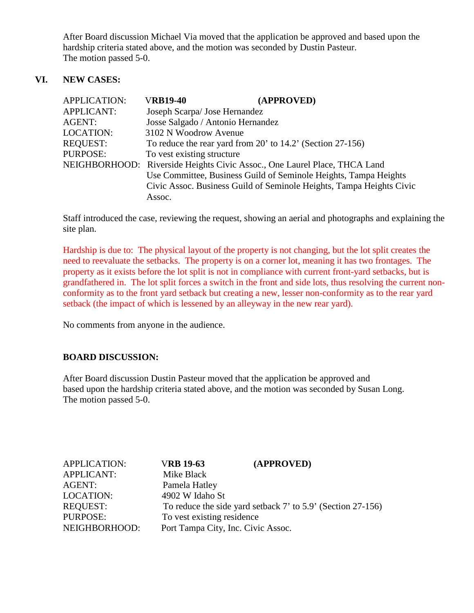After Board discussion Michael Via moved that the application be approved and based upon the hardship criteria stated above, and the motion was seconded by Dustin Pasteur. The motion passed 5-0.

# **VI. NEW CASES:**

| <b>APPLICATION:</b> | <b>VRB19-40</b>            | (APPROVED)                                                                |
|---------------------|----------------------------|---------------------------------------------------------------------------|
| <b>APPLICANT:</b>   |                            | Joseph Scarpa/ Jose Hernandez                                             |
| <b>AGENT:</b>       |                            | Josse Salgado / Antonio Hernandez                                         |
| <b>LOCATION:</b>    | 3102 N Woodrow Avenue      |                                                                           |
| <b>REQUEST:</b>     |                            | To reduce the rear yard from 20' to $14.2$ ' (Section 27-156)             |
| PURPOSE:            | To vest existing structure |                                                                           |
|                     |                            | NEIGHBORHOOD: Riverside Heights Civic Assoc., One Laurel Place, THCA Land |
|                     |                            | Use Committee, Business Guild of Seminole Heights, Tampa Heights          |
|                     |                            | Civic Assoc. Business Guild of Seminole Heights, Tampa Heights Civic      |
|                     | Assoc.                     |                                                                           |

Staff introduced the case, reviewing the request, showing an aerial and photographs and explaining the site plan.

Hardship is due to: The physical layout of the property is not changing, but the lot split creates the need to reevaluate the setbacks. The property is on a corner lot, meaning it has two frontages. The property as it exists before the lot split is not in compliance with current front-yard setbacks, but is grandfathered in. The lot split forces a switch in the front and side lots, thus resolving the current nonconformity as to the front yard setback but creating a new, lesser non-conformity as to the rear yard setback (the impact of which is lessened by an alleyway in the new rear yard).

No comments from anyone in the audience.

# **BOARD DISCUSSION:**

After Board discussion Dustin Pasteur moved that the application be approved and based upon the hardship criteria stated above, and the motion was seconded by Susan Long. The motion passed 5-0.

| <b>APPLICATION:</b> | <b>VRB 19-63</b>                   | (APPROVED)                                                  |  |
|---------------------|------------------------------------|-------------------------------------------------------------|--|
| <b>APPLICANT:</b>   | Mike Black                         |                                                             |  |
| AGENT:              | Pamela Hatley                      |                                                             |  |
| <b>LOCATION:</b>    | 4902 W Idaho St                    |                                                             |  |
| <b>REQUEST:</b>     |                                    | To reduce the side yard setback 7' to 5.9' (Section 27-156) |  |
| PURPOSE:            | To vest existing residence         |                                                             |  |
| NEIGHBORHOOD:       | Port Tampa City, Inc. Civic Assoc. |                                                             |  |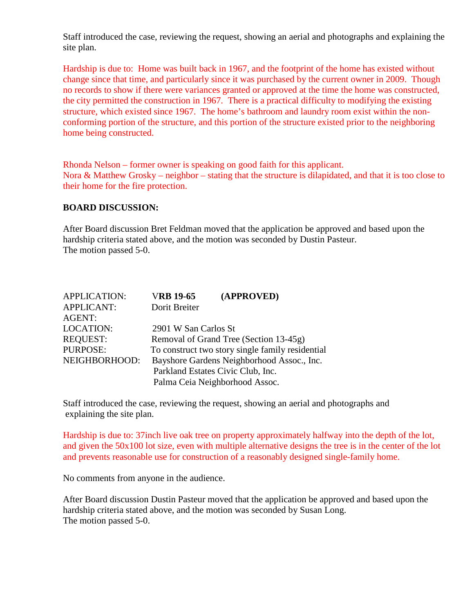Staff introduced the case, reviewing the request, showing an aerial and photographs and explaining the site plan.

Hardship is due to: Home was built back in 1967, and the footprint of the home has existed without change since that time, and particularly since it was purchased by the current owner in 2009. Though no records to show if there were variances granted or approved at the time the home was constructed, the city permitted the construction in 1967. There is a practical difficulty to modifying the existing structure, which existed since 1967. The home's bathroom and laundry room exist within the nonconforming portion of the structure, and this portion of the structure existed prior to the neighboring home being constructed.

Rhonda Nelson – former owner is speaking on good faith for this applicant. Nora & Matthew Grosky – neighbor – stating that the structure is dilapidated, and that it is too close to their home for the fire protection.

### **BOARD DISCUSSION:**

After Board discussion Bret Feldman moved that the application be approved and based upon the hardship criteria stated above, and the motion was seconded by Dustin Pasteur. The motion passed 5-0.

| <b>APPLICATION:</b> | <b>VRB 19-65</b>     | (APPROVED)                                       |
|---------------------|----------------------|--------------------------------------------------|
| <b>APPLICANT:</b>   | Dorit Breiter        |                                                  |
| <b>AGENT:</b>       |                      |                                                  |
| <b>LOCATION:</b>    | 2901 W San Carlos St |                                                  |
| <b>REQUEST:</b>     |                      | Removal of Grand Tree (Section 13-45g)           |
| <b>PURPOSE:</b>     |                      | To construct two story single family residential |
| NEIGHBORHOOD:       |                      | Bayshore Gardens Neighborhood Assoc., Inc.       |
|                     |                      | Parkland Estates Civic Club, Inc.                |
|                     |                      | Palma Ceia Neighborhood Assoc.                   |
|                     |                      |                                                  |

Staff introduced the case, reviewing the request, showing an aerial and photographs and explaining the site plan.

Hardship is due to: 37inch live oak tree on property approximately halfway into the depth of the lot, and given the 50x100 lot size, even with multiple alternative designs the tree is in the center of the lot and prevents reasonable use for construction of a reasonably designed single-family home.

No comments from anyone in the audience.

After Board discussion Dustin Pasteur moved that the application be approved and based upon the hardship criteria stated above, and the motion was seconded by Susan Long. The motion passed 5-0.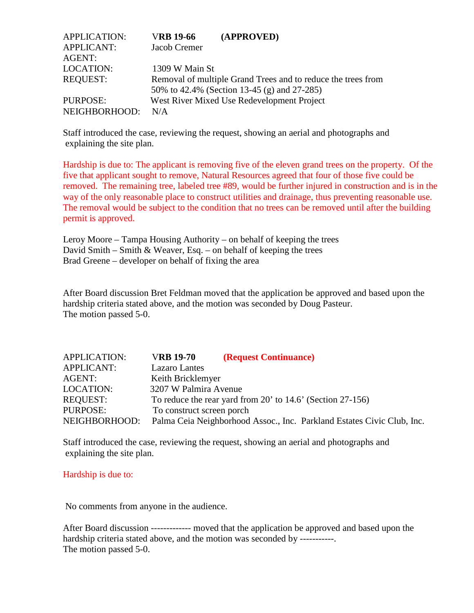| <b>APPLICATION:</b> | <b>VRB 19-66</b> | (APPROVED)                                                   |
|---------------------|------------------|--------------------------------------------------------------|
| <b>APPLICANT:</b>   | Jacob Cremer     |                                                              |
| AGENT:              |                  |                                                              |
| <b>LOCATION:</b>    | 1309 W Main St   |                                                              |
| <b>REQUEST:</b>     |                  | Removal of multiple Grand Trees and to reduce the trees from |
|                     |                  | 50% to 42.4% (Section 13-45 (g) and 27-285)                  |
| PURPOSE:            |                  | West River Mixed Use Redevelopment Project                   |
| NEIGHBORHOOD:       | N/A              |                                                              |

Staff introduced the case, reviewing the request, showing an aerial and photographs and explaining the site plan.

Hardship is due to: The applicant is removing five of the eleven grand trees on the property. Of the five that applicant sought to remove, Natural Resources agreed that four of those five could be removed. The remaining tree, labeled tree #89, would be further injured in construction and is in the way of the only reasonable place to construct utilities and drainage, thus preventing reasonable use. The removal would be subject to the condition that no trees can be removed until after the building permit is approved.

 Leroy Moore – Tampa Housing Authority – on behalf of keeping the trees David Smith – Smith & Weaver, Esq. – on behalf of keeping the trees Brad Greene – developer on behalf of fixing the area

After Board discussion Bret Feldman moved that the application be approved and based upon the hardship criteria stated above, and the motion was seconded by Doug Pasteur. The motion passed 5-0.

| <b>APPLICATION:</b> | <b>VRB 19-70</b>          | (Request Continuance)                                                  |
|---------------------|---------------------------|------------------------------------------------------------------------|
| <b>APPLICANT:</b>   | <b>Lazaro</b> Lantes      |                                                                        |
| AGENT:              | Keith Bricklemyer         |                                                                        |
| <b>LOCATION:</b>    | 3207 W Palmira Avenue     |                                                                        |
| <b>REQUEST:</b>     |                           | To reduce the rear yard from 20' to 14.6' (Section 27-156)             |
| PURPOSE:            | To construct screen porch |                                                                        |
| NEIGHBORHOOD:       |                           | Palma Ceia Neighborhood Assoc., Inc. Parkland Estates Civic Club, Inc. |

Staff introduced the case, reviewing the request, showing an aerial and photographs and explaining the site plan.

#### Hardship is due to:

No comments from anyone in the audience.

After Board discussion ------------- moved that the application be approved and based upon the hardship criteria stated above, and the motion was seconded by -----------. The motion passed 5-0.